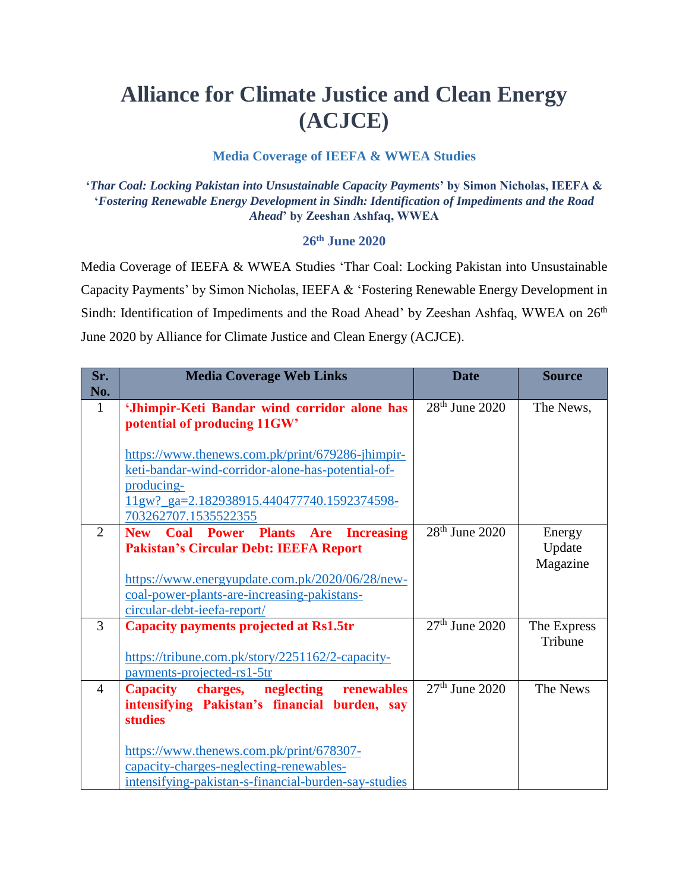## **Alliance for Climate Justice and Clean Energy (ACJCE)**

## **Media Coverage of IEEFA & WWEA Studies**

**'***Thar Coal: Locking Pakistan into Unsustainable Capacity Payments***' by Simon Nicholas, IEEFA & '***Fostering Renewable Energy Development in Sindh: Identification of Impediments and the Road Ahead***' by Zeeshan Ashfaq, WWEA**

## **26th June 2020**

Media Coverage of IEEFA & WWEA Studies 'Thar Coal: Locking Pakistan into Unsustainable Capacity Payments' by Simon Nicholas, IEEFA & 'Fostering Renewable Energy Development in Sindh: Identification of Impediments and the Road Ahead' by Zeeshan Ashfaq, WWEA on 26<sup>th</sup> June 2020 by Alliance for Climate Justice and Clean Energy (ACJCE).

| Sr.<br>No.     | <b>Media Coverage Web Links</b>                                                                                                                 | <b>Date</b>      | <b>Source</b>                |
|----------------|-------------------------------------------------------------------------------------------------------------------------------------------------|------------------|------------------------------|
| $\mathbf{1}$   | 'Jhimpir-Keti Bandar wind corridor alone has<br>potential of producing 11GW'<br>https://www.thenews.com.pk/print/679286-jhimpir-                | $28th$ June 2020 | The News,                    |
|                | keti-bandar-wind-corridor-alone-has-potential-of-<br>producing-<br>11gw?_ga=2.182938915.440477740.1592374598-<br>703262707.1535522355           |                  |                              |
| 2              | <b>New Coal Power Plants Are Increasing</b><br><b>Pakistan's Circular Debt: IEEFA Report</b><br>https://www.energyupdate.com.pk/2020/06/28/new- | $28th$ June 2020 | Energy<br>Update<br>Magazine |
|                | coal-power-plants-are-increasing-pakistans-<br>circular-debt-ieefa-report/                                                                      |                  |                              |
| 3              | <b>Capacity payments projected at Rs1.5tr</b><br>https://tribune.com.pk/story/2251162/2-capacity-                                               | $27th$ June 2020 | The Express<br>Tribune       |
|                | payments-projected-rs1-5tr                                                                                                                      |                  |                              |
| $\overline{4}$ | charges, neglecting renewables<br><b>Capacity</b><br>intensifying Pakistan's financial burden, say<br><b>studies</b>                            | $27th$ June 2020 | The News                     |
|                | https://www.thenews.com.pk/print/678307-<br>capacity-charges-neglecting-renewables-<br>intensifying-pakistan-s-financial-burden-say-studies     |                  |                              |